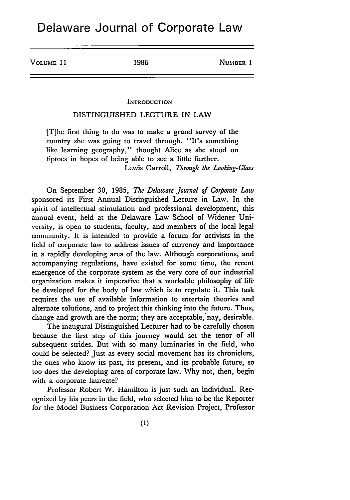VOLUME 11 **1986** NUMBER 1

## **INTRODUCTION**

## DISTINGUISHED LECTURE IN LAW

[T]he first thing to do was to make a grand survey of the country she was going to travel through. "It's something like learning geography," thought Alice as she stood on tiptoes in hopes of being able to see a little further. Lewis Carroll, *Through the Looking-Glass*

On September 30, 1985, *The Delaware Journal of Corporate Law* sponsored its First Annual Distinguished Lecture in Law. In the spirit of intellectual stimulation and professional development, this annual event, held at the Delaware Law School of Widener University, is open to students, faculty, and members of the local legal community. It is intended to provide a forum for activists in the field of corporate law to address issues of currency and importance in a rapidly developing area of the law. Although corporations, and accompanying regulations, have existed for some time, the recent emergence of the corporate system as the very core of our industrial organization makes it imperative that a workable philosophy of life be developed for the body of law which is to regulate it. This task requires the use of available information to entertain theories and alternate solutions, and to project this thinking into the future. Thus, change and growth are the norm; they are acceptable, nay, desirable.

The inaugural Distinguished Lecturer had to be carefully chosen because the first step of this journey would set the tenor of all subsequent strides. But with so many luminaries in the field, who could be selected? Just as every social movement has its chroniclers, the ones who know its past, its present, and its probable future, so too does the developing area of corporate law. Why not, then, begin with a corporate laureate?

Professor Robert W. Hamilton is just such an individual. Recognized by his peers in the field, who selected him to be the Reporter for the Model Business Corporation Act Revision Project, Professor